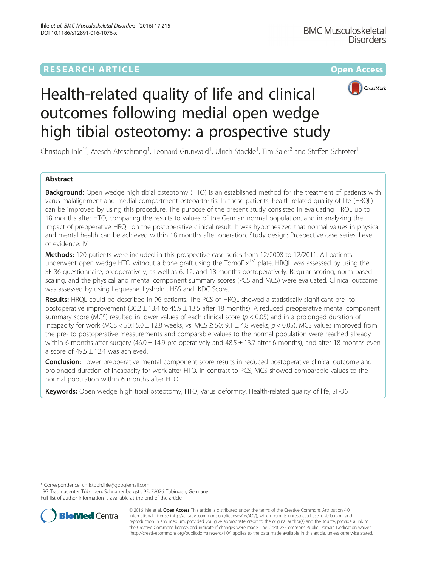

# Health-related quality of life and clinical outcomes following medial open wedge high tibial osteotomy: a prospective study

Christoph Ihle<sup>1\*</sup>, Atesch Ateschrang<sup>1</sup>, Leonard Grünwald<sup>1</sup>, Ulrich Stöckle<sup>1</sup>, Tim Saier<sup>2</sup> and Steffen Schröter<sup>1</sup>

## Abstract

**Background:** Open wedge high tibial osteotomy (HTO) is an established method for the treatment of patients with varus malalignment and medial compartment osteoarthritis. In these patients, health-related quality of life (HRQL) can be improved by using this procedure. The purpose of the present study consisted in evaluating HRQL up to 18 months after HTO, comparing the results to values of the German normal population, and in analyzing the impact of preoperative HRQL on the postoperative clinical result. It was hypothesized that normal values in physical and mental health can be achieved within 18 months after operation. Study design: Prospective case series. Level of evidence: IV.

Methods: 120 patients were included in this prospective case series from 12/2008 to 12/2011. All patients underwent open wedge HTO without a bone graft using the TomoFix<sup>TM</sup> plate. HRQL was assessed by using the SF-36 questionnaire, preoperatively, as well as 6, 12, and 18 months postoperatively. Regular scoring, norm-based scaling, and the physical and mental component summary scores (PCS and MCS) were evaluated. Clinical outcome was assessed by using Lequesne, Lysholm, HSS and IKDC Score.

Results: HRQL could be described in 96 patients. The PCS of HRQL showed a statistically significant pre- to postoperative improvement ( $30.2 \pm 13.4$  to  $45.9 \pm 13.5$  after 18 months). A reduced preoperative mental component summary score (MCS) resulted in lower values of each clinical score ( $p < 0.05$ ) and in a prolonged duration of incapacity for work (MCS < 50:15.0 ± 12.8 weeks, vs. MCS  $\geq$  50: 9.1 ± 4.8 weeks, p < 0.05). MCS values improved from the pre- to postoperative measurements and comparable values to the normal population were reached already within 6 months after surgery (46.0  $\pm$  14.9 pre-operatively and 48.5  $\pm$  13.7 after 6 months), and after 18 months even a score of  $49.5 \pm 12.4$  was achieved.

**Conclusion:** Lower preoperative mental component score results in reduced postoperative clinical outcome and prolonged duration of incapacity for work after HTO. In contrast to PCS, MCS showed comparable values to the normal population within 6 months after HTO.

Keywords: Open wedge high tibial osteotomy, HTO, Varus deformity, Health-related quality of life, SF-36

\* Correspondence: [christoph.ihle@googlemail.com](mailto:christoph.ihle@googlemail.com) <sup>1</sup>

<sup>1</sup>BG Traumacenter Tübingen, Schnarrenbergstr. 95, 72076 Tübingen, Germany Full list of author information is available at the end of the article



© 2016 Ihle et al. Open Access This article is distributed under the terms of the Creative Commons Attribution 4.0 International License [\(http://creativecommons.org/licenses/by/4.0/](http://creativecommons.org/licenses/by/4.0/)), which permits unrestricted use, distribution, and reproduction in any medium, provided you give appropriate credit to the original author(s) and the source, provide a link to the Creative Commons license, and indicate if changes were made. The Creative Commons Public Domain Dedication waiver [\(http://creativecommons.org/publicdomain/zero/1.0/](http://creativecommons.org/publicdomain/zero/1.0/)) applies to the data made available in this article, unless otherwise stated.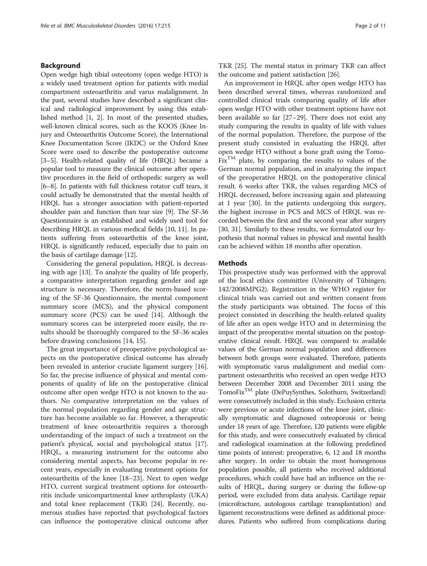## Background

Open wedge high tibial osteotomy (open wedge HTO) is a widely used treatment option for patients with medial compartment osteoarthritis and varus malalignment. In the past, several studies have described a significant clinical and radiological improvement by using this established method [\[1](#page-8-0), [2\]](#page-8-0). In most of the presented studies, well-known clinical scores, such as the KOOS (Knee Injury and Osteoarthritis Outcome Score), the International Knee Documentation Score (IKDC) or the Oxford Knee Score were used to describe the postoperative outcome [[3](#page-8-0)–[5](#page-8-0)]. Health-related quality of life (HRQL) became a popular tool to measure the clinical outcome after operative procedures in the field of orthopedic surgery as well [[6](#page-8-0)–[8](#page-9-0)]. In patients with full thickness rotator cuff tears, it could actually be demonstrated that the mental health of HRQL has a stronger association with patient-reported shoulder pain and function than tear size [\[9\]](#page-9-0). The SF-36 Questionnaire is an established and widely used tool for describing HRQL in various medical fields [[10](#page-9-0), [11\]](#page-9-0). In patients suffering from osteoarthritis of the knee joint, HRQL is significantly reduced, especially due to pain on the basis of cartilage damage [[12\]](#page-9-0).

Considering the general population, HRQL is decreasing with age [[13\]](#page-9-0). To analyze the quality of life properly, a comparative interpretation regarding gender and age structure is necessary. Therefore, the norm-based scoring of the SF-36 Questionnaire, the mental component summary score (MCS), and the physical component summary score (PCS) can be used [\[14](#page-9-0)]. Although the summary scores can be interpreted more easily, the results should be thoroughly compared to the SF-36 scales before drawing conclusions [[14, 15\]](#page-9-0).

The great importance of preoperative psychological aspects on the postoperative clinical outcome has already been revealed in anterior cruciate ligament surgery [\[16](#page-9-0)]. So far, the precise influence of physical and mental components of quality of life on the postoperative clinical outcome after open wedge HTO is not known to the authors. No comparative interpretation on the values of the normal population regarding gender and age structure has become available so far. However, a therapeutic treatment of knee osteoarthritis requires a thorough understanding of the impact of such a treatment on the patient's physical, social and psychological status [\[17](#page-9-0)]. HRQL, a measuring instrument for the outcome also considering mental aspects, has become popular in recent years, especially in evaluating treatment options for osteoarthritis of the knee [[18](#page-9-0)–[23](#page-9-0)]. Next to open wedge HTO, current surgical treatment options for osteoarthritis include unicompartmental knee arthroplasty (UKA) and total knee replacement (TKR) [[24\]](#page-9-0). Recently, numerous studies have reported that psychological factors can influence the postoperative clinical outcome after

TKR [[25](#page-9-0)]. The mental status in primary TKR can affect the outcome and patient satisfaction [\[26](#page-9-0)].

An improvement in HRQL after open wedge HTO has been described several times, whereas randomized and controlled clinical trials comparing quality of life after open wedge HTO with other treatment options have not been available so far [\[27](#page-9-0)–[29\]](#page-9-0). There does not exist any study comparing the results in quality of life with values of the normal population. Therefore, the purpose of the present study consisted in evaluating the HRQL after open wedge HTO without a bone graft using the Tomo- $Fix<sup>TM</sup>$  plate, by comparing the results to values of the German normal population, and in analyzing the impact of the preoperative HRQL on the postoperative clinical result. 6 weeks after TKR, the values regarding MCS of HRQL decreased, before increasing again and plateauing at 1 year [\[30](#page-9-0)]. In the patients undergoing this surgery, the highest increase in PCS and MCS of HRQL was recorded between the first and the second year after surgery [[30](#page-9-0), [31](#page-9-0)]. Similarly to these results, we formulated our hypothesis that normal values in physical and mental health can be achieved within 18 months after operation.

## **Methods**

This prospective study was performed with the approval of the local ethics committee (University of Tübingen; 142/2008MPG2). Registration in the WHO register for clinical trials was carried out and written consent from the study participants was obtained. The focus of this project consisted in describing the health-related quality of life after an open wedge HTO and in determining the impact of the preoperative mental situation on the postoperative clinical result. HRQL was compared to available values of the German normal population and differences between both groups were evaluated. Therefore, patients with symptomatic varus malalignment and medial compartment osteoarthritis who received an open wedge HTO between December 2008 and December 2011 using the TomoFixTM plate (DePuySynthes, Solothurn, Switzerland) were consecutively included in this study. Exclusion criteria were previous or acute infections of the knee joint, clinically symptomatic and diagnosed osteoporosis or being under 18 years of age. Therefore, 120 patients were eligible for this study, and were consecutively evaluated by clinical and radiological examination at the following predefined time points of interest: preoperative, 6, 12 and 18 months after surgery. In order to obtain the most homogenous population possible, all patients who received additional procedures, which could have had an influence on the results of HRQL, during surgery or during the follow-up period, were excluded from data analysis. Cartilage repair (microfracture, autologous cartilage transplantation) and ligament reconstructions were defined as additional procedures. Patients who suffered from complications during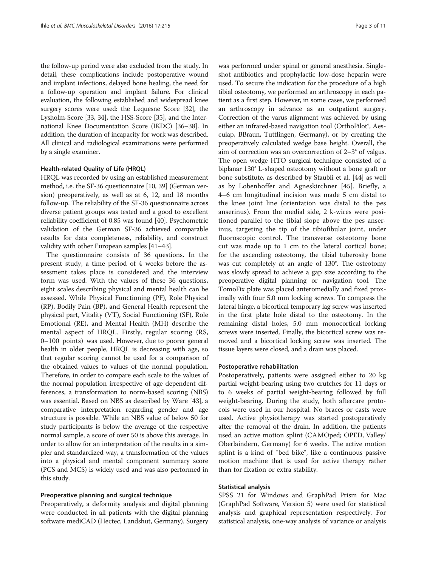the follow-up period were also excluded from the study. In detail, these complications include postoperative wound and implant infections, delayed bone healing, the need for a follow-up operation and implant failure. For clinical evaluation, the following established and widespread knee surgery scores were used: the Lequesne Score [\[32\]](#page-9-0), the Lysholm-Score [[33](#page-9-0), [34\]](#page-9-0), the HSS-Score [[35\]](#page-9-0), and the International Knee Documentation Score (IKDC) [[36](#page-9-0)–[38](#page-9-0)]. In addition, the duration of incapacity for work was described. All clinical and radiological examinations were performed by a single examiner.

#### Health-related Quality of Life (HRQL)

HRQL was recorded by using an established measurement method, i.e. the SF-36 questionnaire [[10](#page-9-0), [39\]](#page-9-0) (German version) preoperatively, as well as at 6, 12, and 18 months follow-up. The reliability of the SF-36 questionnaire across diverse patient groups was tested and a good to excellent reliability coefficient of 0.85 was found [[40\]](#page-9-0). Psychometric validation of the German SF-36 achieved comparable results for data completeness, reliability, and construct validity with other European samples [\[41](#page-9-0)–[43\]](#page-9-0).

The questionnaire consists of 36 questions. In the present study, a time period of 4 weeks before the assessment takes place is considered and the interview form was used. With the values of these 36 questions, eight scales describing physical and mental health can be assessed. While Physical Functioning (PF), Role Physical (RP), Bodily Pain (BP), and General Health represent the physical part, Vitality (VT), Social Functioning (SF), Role Emotional (RE), and Mental Health (MH) describe the mental aspect of HRQL. Firstly, regular scoring (RS, 0–100 points) was used. However, due to poorer general health in older people, HRQL is decreasing with age, so that regular scoring cannot be used for a comparison of the obtained values to values of the normal population. Therefore, in order to compare each scale to the values of the normal population irrespective of age dependent differences, a transformation to norm-based scoring (NBS) was essential. Based on NBS as described by Ware [\[43\]](#page-9-0), a comparative interpretation regarding gender and age structure is possible. While an NBS value of below 50 for study participants is below the average of the respective normal sample, a score of over 50 is above this average. In order to allow for an interpretation of the results in a simpler and standardized way, a transformation of the values into a physical and mental component summary score (PCS and MCS) is widely used and was also performed in this study.

#### Preoperative planning and surgical technique

Preoperatively, a deformity analysis and digital planning were conducted in all patients with the digital planning software mediCAD (Hectec, Landshut, Germany). Surgery was performed under spinal or general anesthesia. Singleshot antibiotics and prophylactic low-dose heparin were used. To secure the indication for the procedure of a high tibial osteotomy, we performed an arthroscopy in each patient as a first step. However, in some cases, we performed an arthroscopy in advance as an outpatient surgery. Correction of the varus alignment was achieved by using either an infrared-based navigation tool (OrthoPilot®, Aesculap, BBraun, Tuttlingen, Germany), or by creating the preoperatively calculated wedge base height. Overall, the aim of correction was an overcorrection of 2–3° of valgus. The open wedge HTO surgical technique consisted of a biplanar 130° L-shaped osteotomy without a bone graft or bone substitute, as described by Staubli et al. [[44](#page-9-0)] as well as by Lobenhoffer and Agneskirchner [[45](#page-9-0)]. Briefly, a 4–6 cm longitudinal incision was made 5 cm distal to the knee joint line (orientation was distal to the pes anserinus). From the medial side, 2 k-wires were positioned parallel to the tibial slope above the pes anserinus, targeting the tip of the tibiofibular joint, under fluoroscopic control. The transverse osteotomy bone cut was made up to 1 cm to the lateral cortical bone; for the ascending osteotomy, the tibial tuberosity bone was cut completely at an angle of 130°. The osteotomy was slowly spread to achieve a gap size according to the preoperative digital planning or navigation tool. The TomoFix plate was placed anteromedially and fixed proximally with four 5.0 mm locking screws. To compress the lateral hinge, a bicortical temporary lag screw was inserted in the first plate hole distal to the osteotomy. In the remaining distal holes, 5.0 mm monocortical locking screws were inserted. Finally, the bicortical screw was removed and a bicortical locking screw was inserted. The tissue layers were closed, and a drain was placed.

#### Postoperative rehabilitation

Postoperatively, patients were assigned either to 20 kg partial weight-bearing using two crutches for 11 days or to 6 weeks of partial weight-bearing followed by full weight-bearing. During the study, both aftercare protocols were used in our hospital. No braces or casts were used. Active physiotherapy was started postoperatively after the removal of the drain. In addition, the patients used an active motion splint (CAMOped; OPED, Valley/ Oberlaindern, Germany) for 6 weeks. The active motion splint is a kind of "bed bike", like a continuous passive motion machine that is used for active therapy rather than for fixation or extra stability.

#### Statistical analysis

SPSS 21 for Windows and GraphPad Prism for Mac (GraphPad Software, Version 5) were used for statistical analysis and graphical representation respectively. For statistical analysis, one-way analysis of variance or analysis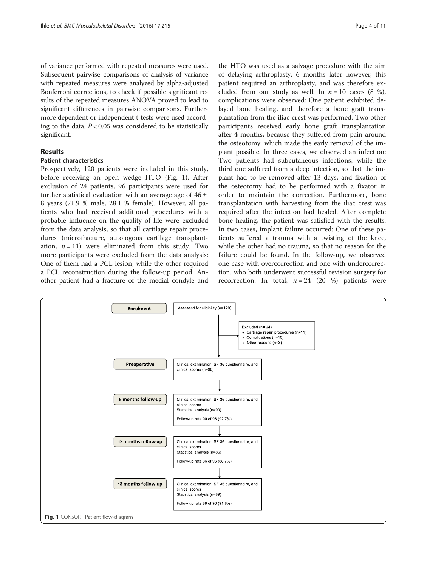of variance performed with repeated measures were used. Subsequent pairwise comparisons of analysis of variance with repeated measures were analyzed by alpha-adjusted Bonferroni corrections, to check if possible significant results of the repeated measures ANOVA proved to lead to significant differences in pairwise comparisons. Furthermore dependent or independent t-tests were used according to the data.  $P < 0.05$  was considered to be statistically significant.

## Results

## Patient characteristics

Prospectively, 120 patients were included in this study, before receiving an open wedge HTO (Fig. 1). After exclusion of 24 patients, 96 participants were used for further statistical evaluation with an average age of  $46 \pm$ 8 years (71.9 % male, 28.1 % female). However, all patients who had received additional procedures with a probable influence on the quality of life were excluded from the data analysis, so that all cartilage repair procedures (microfracture, autologous cartilage transplantation,  $n = 11$ ) were eliminated from this study. Two more participants were excluded from the data analysis: One of them had a PCL lesion, while the other required a PCL reconstruction during the follow-up period. Another patient had a fracture of the medial condyle and

the HTO was used as a salvage procedure with the aim of delaying arthroplasty. 6 months later however, this patient required an arthroplasty, and was therefore excluded from our study as well. In  $n = 10$  cases (8 %), complications were observed: One patient exhibited delayed bone healing, and therefore a bone graft transplantation from the iliac crest was performed. Two other participants received early bone graft transplantation after 4 months, because they suffered from pain around the osteotomy, which made the early removal of the implant possible. In three cases, we observed an infection: Two patients had subcutaneous infections, while the third one suffered from a deep infection, so that the implant had to be removed after 13 days, and fixation of the osteotomy had to be performed with a fixator in order to maintain the correction. Furthermore, bone transplantation with harvesting from the iliac crest was required after the infection had healed. After complete bone healing, the patient was satisfied with the results. In two cases, implant failure occurred: One of these patients suffered a trauma with a twisting of the knee, while the other had no trauma, so that no reason for the failure could be found. In the follow-up, we observed one case with overcorrection and one with undercorrection, who both underwent successful revision surgery for recorrection. In total,  $n = 24$  (20 %) patients were

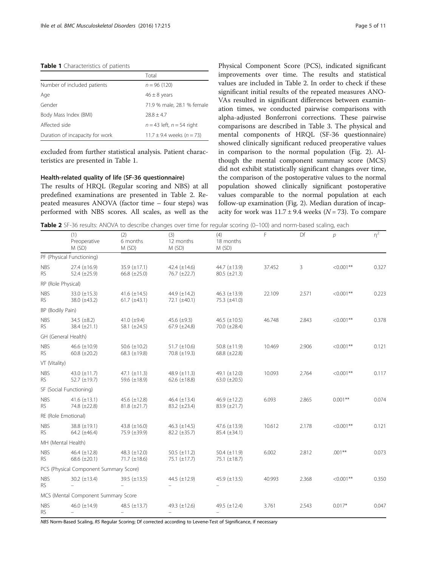#### <span id="page-4-0"></span>Table 1 Characteristics of patients

|                                 | Total                             |
|---------------------------------|-----------------------------------|
| Number of included patients     | $n = 96(120)$                     |
| Age                             | $46 \pm 8$ years                  |
| Gender                          | 71.9 % male, 28.1 % female        |
| Body Mass Index (BMI)           | $78.8 + 4.7$                      |
| Affected side                   | $n = 43$ left, $n = 54$ right     |
| Duration of incapacity for work | $11.7 \pm 9.4$ weeks ( $n = 73$ ) |

excluded from further statistical analysis. Patient characteristics are presented in Table 1.

#### Health-related quality of life (SF-36 questionnaire)

The results of HRQL (Regular scoring and NBS) at all predefined examinations are presented in Table 2. Repeated measures ANOVA (factor time – four steps) was performed with NBS scores. All scales, as well as the

Physical Component Score (PCS), indicated significant improvements over time. The results and statistical values are included in Table 2. In order to check if these significant initial results of the repeated measures ANO-VAs resulted in significant differences between examination times, we conducted pairwise comparisons with alpha-adjusted Bonferroni corrections. These pairwise comparisons are described in Table [3](#page-5-0). The physical and mental components of HRQL (SF-36 questionnaire) showed clinically significant reduced preoperative values in comparison to the normal population (Fig. [2\)](#page-6-0). Although the mental component summary score (MCS) did not exhibit statistically significant changes over time, the comparison of the postoperative values to the normal population showed clinically significant postoperative values comparable to the normal population at each follow-up examination (Fig. [2\)](#page-6-0). Median duration of incapacity for work was  $11.7 \pm 9.4$  weeks (N = 73). To compare

Table 2 SF-36 results: ANOVA to describe changes over time for regular scoring (0-100) and norm-based scaling, each

|                         | (1)<br>Preoperative<br>M (SD)                 | (2)<br>6 months<br>M (SD)              | (3)<br>12 months<br>M (SD)              | (4)<br>18 months<br>M (SD)               | F      | Df           | $\overline{p}$ | $\eta^2$ |
|-------------------------|-----------------------------------------------|----------------------------------------|-----------------------------------------|------------------------------------------|--------|--------------|----------------|----------|
|                         | PF (Physical Functioning)                     |                                        |                                         |                                          |        |              |                |          |
| <b>NBS</b><br><b>RS</b> | $27.4 (\pm 16.9)$<br>52.4 $(\pm 25.9)$        | 35.9 $(\pm 17.1)$<br>66.8 $(\pm 25.0)$ | 42.4 $(\pm 14.6)$<br>76.7 (±22.7)       | 44.7 (±13.9)<br>$80.5 \ (\pm 21.3)$      | 37.452 | $\mathbf{3}$ | $< 0.001**$    | 0.327    |
|                         | RP (Role Physical)                            |                                        |                                         |                                          |        |              |                |          |
| <b>NBS</b><br><b>RS</b> | 33.0 $(\pm 15.3)$<br>38.0 (±43.2)             | 41.6 $(\pm 14.5)$<br>$61.7 (\pm 43.1)$ | 44.9 (±14.2)<br>$72.1 (\pm 40.1)$       | 46.3 $(\pm 13.9)$<br>75.3 (±41.0)        | 22.109 | 2.571        | $< 0.001$ **   | 0.223    |
| BP (Bodily Pain)        |                                               |                                        |                                         |                                          |        |              |                |          |
| <b>NBS</b><br><b>RS</b> | 34.5 $(\pm 8.2)$<br>$38.4 (\pm 21.1)$         | 41.0 $(\pm 9.4)$<br>58.1 $(\pm 24.5)$  | 45.6 $(\pm 9.3)$<br>$67.9 \ (\pm 24.8)$ | 46.5 $(\pm 10.5)$<br>70.0 (±28.4)        | 46.748 | 2.843        | $< 0.001$ **   | 0.378    |
|                         | GH (General Health)                           |                                        |                                         |                                          |        |              |                |          |
| <b>NBS</b><br><b>RS</b> | 46.6 $(\pm 10.9)$<br>60.8 $(\pm 20.2)$        | 50.6 $(\pm 10.2)$<br>68.3 $(\pm 19.8)$ | 51.7 $(\pm 10.6)$<br>70.8 (±19.3)       | 50.8 $(\pm 11.9)$<br>68.8 $(\pm 22.8)$   | 10.469 | 2.906        | $< 0.001$ **   | 0.121    |
| VT (Vitality)           |                                               |                                        |                                         |                                          |        |              |                |          |
| <b>NBS</b><br>RS.       | 43.0 $(\pm 11.7)$<br>52.7 (±19.7)             | 47.1 $(\pm 11.3)$<br>59.6 $(\pm 18.9)$ | 48.9 $(\pm 11.3)$<br>62.6 $(\pm 18.8)$  | 49.1 (±12.0)<br>63.0 $(\pm 20.5)$        | 10.093 | 2.764        | $< 0.001$ **   | 0.117    |
|                         | SF (Social Functioning)                       |                                        |                                         |                                          |        |              |                |          |
| <b>NBS</b><br><b>RS</b> | 41.6 $(\pm 13.1)$<br>74.8 (±22.8)             | 45.6 $(\pm 12.8)$<br>$81.8 (\pm 21.7)$ | 46.4 $(\pm 13.4)$<br>$83.2 (\pm 23.4)$  | 46.9 $(\pm 12.2)$<br>$83.9 \ (\pm 21.7)$ | 6.093  | 2.865        | $0.001**$      | 0.074    |
|                         | RE (Role Emotional)                           |                                        |                                         |                                          |        |              |                |          |
| <b>NBS</b><br><b>RS</b> | 38.8 (±19.1)<br>64.2 $(\pm 46.4)$             | 43.8 $(\pm 16.0)$<br>75.9 (±39.9)      | 46.3 $(\pm 14.5)$<br>$82.2 (\pm 35.7)$  | 47.6 (±13.9)<br>$85.4 (\pm 34.1)$        | 10.612 | 2.178        | $< 0.001**$    | 0.121    |
|                         | MH (Mental Health)                            |                                        |                                         |                                          |        |              |                |          |
| <b>NBS</b><br><b>RS</b> | 46.4 $(\pm 12.8)$<br>68.6 $(\pm 20.1)$        | 48.3 $(\pm 12.0)$<br>$71.7 (\pm 18.6)$ | 50.5 $(\pm 11.2)$<br>75.1 $(\pm 17.7)$  | 50.4 $(\pm 11.9)$<br>75.1 (±18.7)        | 6.002  | 2.812        | $.001***$      | 0.073    |
|                         | PCS (Physical Component Summary Score)        |                                        |                                         |                                          |        |              |                |          |
| <b>NBS</b><br>RS.       | 30.2 $(\pm 13.4)$                             | 39.5 $(\pm 13.5)$                      | 44.5 $(\pm 12.9)$                       | 45.9 $(\pm 13.5)$                        | 40.993 | 2.368        | $< 0.001$ **   | 0.350    |
|                         | MCS (Mental Component Summary Score           |                                        |                                         |                                          |        |              |                |          |
| <b>NBS</b><br><b>RS</b> | 46.0 $(\pm 14.9)$<br>$\overline{\phantom{a}}$ | 48.5 (±13.7)                           | 49.3 (±12.6)                            | 49.5 (±12.4)                             | 3.761  | 2.543        | $0.017*$       | 0.047    |

NBS Norm-Based Scaling, RS Regular Scoring; Df corrected according to Levene-Test of Significance, if necessary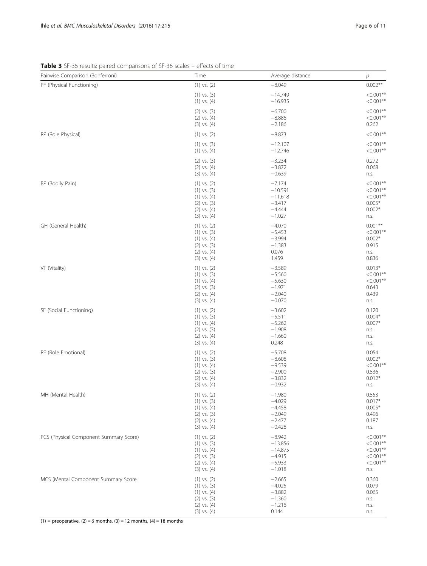<span id="page-5-0"></span>

| <b>Table 3</b> SF-36 results: paired comparisons of SF-36 scales – effects of time |  |  |  |  |  |  |
|------------------------------------------------------------------------------------|--|--|--|--|--|--|
|------------------------------------------------------------------------------------|--|--|--|--|--|--|

| Pairwise Comparison (Bonferroni)       | Time            | Average distance | $\overline{p}$ |
|----------------------------------------|-----------------|------------------|----------------|
| PF (Physical Functioning)              | $(1)$ vs. $(2)$ | $-8.049$         | $0.002**$      |
|                                        | $(1)$ vs. $(3)$ | $-14.749$        | $< 0.001$ **   |
|                                        | $(1)$ vs. $(4)$ | $-16.935$        | $< 0.001$ **   |
|                                        | $(2)$ vs. $(3)$ | $-6.700$         | $< 0.001$ **   |
|                                        | $(2)$ vs. $(4)$ | $-8.886$         | $< 0.001$ **   |
|                                        | $(3)$ vs. $(4)$ | $-2.186$         | 0.262          |
| RP (Role Physical)                     | $(1)$ vs. $(2)$ | $-8.873$         | $< 0.001$ **   |
|                                        | $(1)$ vs. $(3)$ | $-12.107$        | $<0.001**$     |
|                                        | $(1)$ vs. $(4)$ | $-12.746$        | $< 0.001$ **   |
|                                        | $(2)$ vs. $(3)$ | $-3.234$         | 0.272          |
|                                        | $(2)$ vs. $(4)$ | $-3.872$         | 0.068          |
|                                        | $(3)$ vs. $(4)$ | $-0.639$         | n.s.           |
| BP (Bodily Pain)                       | $(1)$ vs. $(2)$ | $-7.174$         | $< 0.001$ **   |
|                                        | $(1)$ vs. $(3)$ | $-10.591$        | $< 0.001$ **   |
|                                        | $(1)$ vs. $(4)$ | $-11.618$        | $< 0.001$ **   |
|                                        | $(2)$ vs. $(3)$ | $-3.417$         | $0.005*$       |
|                                        | $(2)$ vs. $(4)$ | $-4.444$         | $0.002*$       |
|                                        | $(3)$ vs. $(4)$ | $-1.027$         | n.s.           |
| GH (General Health)                    | $(1)$ vs. $(2)$ | $-4.070$         | $0.001**$      |
|                                        | $(1)$ vs. $(3)$ | $-5.453$         | $< 0.001$ **   |
|                                        | $(1)$ vs. $(4)$ | $-3.994$         | $0.002*$       |
|                                        | $(2)$ vs. $(3)$ | $-1.383$         | 0.915          |
|                                        | $(2)$ vs. $(4)$ | 0.076            | n.s.           |
|                                        | $(3)$ vs. $(4)$ | 1.459            | 0.836          |
| VT (Vitality)                          | $(1)$ vs. $(2)$ | $-3.589$         | $0.013*$       |
|                                        | $(1)$ vs. $(3)$ | $-5.560$         | $< 0.001$ **   |
|                                        | $(1)$ vs. $(4)$ | $-5.630$         | $< 0.001$ **   |
|                                        | $(2)$ vs. $(3)$ | $-1.971$         | 0.643          |
|                                        | $(2)$ vs. $(4)$ | $-2.040$         | 0.439          |
|                                        | $(3)$ vs. $(4)$ | $-0.070$         | n.s.           |
| SF (Social Functioning)                | $(1)$ vs. $(2)$ | $-3.602$         | 0.120          |
|                                        | $(1)$ vs. $(3)$ | $-5.511$         | $0.004*$       |
|                                        | $(1)$ vs. $(4)$ | $-5.262$         | $0.007*$       |
|                                        | $(2)$ vs. $(3)$ | $-1.908$         | n.s.           |
|                                        | $(2)$ vs. $(4)$ | $-1.660$         | n.s.           |
|                                        | $(3)$ vs. $(4)$ | 0.248            | n.s.           |
| RE (Role Emotional)                    | $(1)$ vs. $(2)$ | $-5.708$         | 0.054          |
|                                        | $(1)$ vs. $(3)$ | $-8.608$         | $0.002*$       |
|                                        | $(1)$ vs. $(4)$ | $-9.539$         | $< 0.001$ **   |
|                                        | $(2)$ vs. $(3)$ | $-2.900$         | 0.536          |
|                                        | $(2)$ vs. $(4)$ | $-3.832$         | $0.012*$       |
|                                        | $(3)$ vs. $(4)$ | $-0.932$         | n.s.           |
| MH (Mental Health)                     | $(1)$ vs. $(2)$ | $-1.980$         | 0.553          |
|                                        | $(1)$ vs. $(3)$ | $-4.029$         | $0.017*$       |
|                                        | $(1)$ vs. $(4)$ | $-4.458$         | $0.005*$       |
|                                        | $(2)$ vs. $(3)$ | $-2.049$         | 0.496          |
|                                        | $(2)$ vs. $(4)$ | $-2.477$         | 0.187          |
|                                        | $(3)$ vs. $(4)$ | $-0.428$         | n.s.           |
| PCS (Physical Component Summary Score) | $(1)$ vs. $(2)$ | $-8.942$         | $< 0.001$ **   |
|                                        | $(1)$ vs. $(3)$ | $-13.856$        | $< 0.001$ **   |
|                                        | $(1)$ vs. $(4)$ | $-14.875$        | $< 0.001$ **   |
|                                        | $(2)$ vs. $(3)$ | $-4.915$         | $< 0.001$ **   |
|                                        | $(2)$ vs. $(4)$ | $-5.933$         | $< 0.001$ **   |
|                                        | $(3)$ vs. $(4)$ | $-1.018$         | n.s.           |
| MCS (Mental Component Summary Score    | $(1)$ vs. $(2)$ | $-2.665$         | 0.360          |
|                                        | $(1)$ vs. $(3)$ | $-4.025$         | 0.079          |
|                                        | $(1)$ vs. $(4)$ | $-3.882$         | 0.065          |
|                                        | $(2)$ vs. $(3)$ | $-1.360$         | n.s.           |
|                                        | $(2)$ vs. $(4)$ | $-1.216$         | n.s.           |
|                                        | $(3)$ vs. $(4)$ | 0.144            | n.s.           |

 $(1)$  = preoperative, (2) = 6 months, (3) = 12 months, (4) = 18 months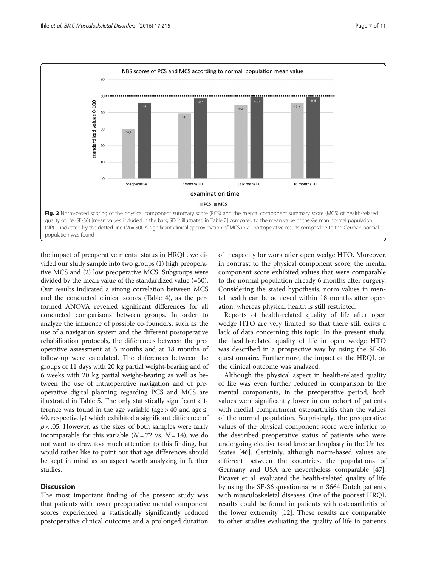<span id="page-6-0"></span>

the impact of preoperative mental status in HRQL, we divided our study sample into two groups (1) high preoperative MCS and (2) low preoperative MCS. Subgroups were divided by the mean value of the standardized value (=50). Our results indicated a strong correlation between MCS and the conducted clinical scores (Table [4](#page-7-0)), as the performed ANOVA revealed significant differences for all conducted comparisons between groups. In order to analyze the influence of possible co-founders, such as the use of a navigation system and the different postoperative rehabilitation protocols, the differences between the preoperative assessment at 6 months and at 18 months of follow-up were calculated. The differences between the groups of 11 days with 20 kg partial weight-bearing and of 6 weeks with 20 kg partial weight-bearing as well as between the use of intraoperative navigation and of preoperative digital planning regarding PCS and MCS are illustrated in Table [5.](#page-7-0) The only statistically significant difference was found in the age variable (age > 40 and age  $\le$ 40, respectively) which exhibited a significant difference of  $p < .05$ . However, as the sizes of both samples were fairly incomparable for this variable  $(N = 72$  vs.  $N = 14$ ), we do not want to draw too much attention to this finding, but would rather like to point out that age differences should be kept in mind as an aspect worth analyzing in further studies.

## **Discussion**

The most important finding of the present study was that patients with lower preoperative mental component scores experienced a statistically significantly reduced postoperative clinical outcome and a prolonged duration

of incapacity for work after open wedge HTO. Moreover, in contrast to the physical component score, the mental component score exhibited values that were comparable to the normal population already 6 months after surgery. Considering the stated hypothesis, norm values in mental health can be achieved within 18 months after operation, whereas physical health is still restricted.

Reports of health-related quality of life after open wedge HTO are very limited, so that there still exists a lack of data concerning this topic. In the present study, the health-related quality of life in open wedge HTO was described in a prospective way by using the SF-36 questionnaire. Furthermore, the impact of the HRQL on the clinical outcome was analyzed.

Although the physical aspect in health-related quality of life was even further reduced in comparison to the mental components, in the preoperative period, both values were significantly lower in our cohort of patients with medial compartment osteoarthritis than the values of the normal population. Surprisingly, the preoperative values of the physical component score were inferior to the described preoperative status of patients who were undergoing elective total knee arthroplasty in the United States [[46\]](#page-9-0). Certainly, although norm-based values are different between the countries, the populations of Germany and USA are nevertheless comparable [\[47](#page-9-0)]. Picavet et al. evaluated the health-related quality of life by using the SF-36 questionnaire in 3664 Dutch patients with musculoskeletal diseases. One of the poorest HRQL results could be found in patients with osteoarthritis of the lower extremity [\[12\]](#page-9-0). These results are comparable to other studies evaluating the quality of life in patients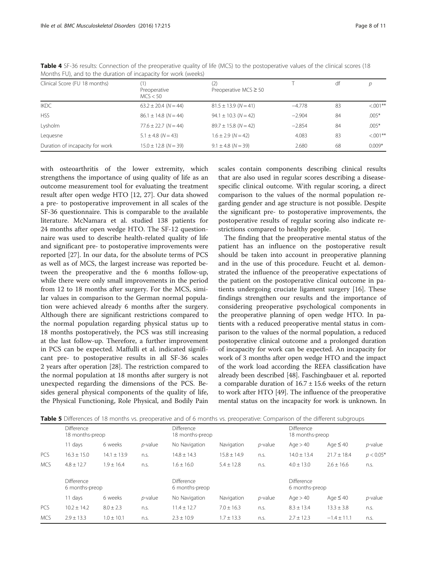| Clinical Score (FU 18 months)   | (1)<br>Preoperative<br>MCS < 50 | (2)<br>Preoperative MCS $\geq$ 50 |          | df |              |
|---------------------------------|---------------------------------|-----------------------------------|----------|----|--------------|
| <b>IKDC</b>                     | $63.2 \pm 20.4$ (N = 44)        | $81.5 \pm 13.9$ (N = 41)          | $-4.778$ | 83 | $< 0.001$ ** |
| <b>HSS</b>                      | $86.1 \pm 14.8$ (N = 44)        | $94.1 \pm 10.3$ (N = 42)          | $-2.904$ | 84 | $.005*$      |
| Lysholm                         | $77.6 \pm 22.7$ (N = 44)        | $89.7 \pm 15.8$ (N = 42)          | $-2.854$ | 84 | $.005*$      |
| Leguesne                        | $5.1 \pm 4.8$ (N = 43)          | $1.6 \pm 2.9$ (N = 42)            | 4.083    | 83 | $< 0.001**$  |
| Duration of incapacity for work | $15.0 \pm 12.8$ (N = 39)        | $9.1 \pm 4.8$ (N = 39)            | 2.680    | 68 | $0.009*$     |

<span id="page-7-0"></span>Table 4 SF-36 results: Connection of the preoperative quality of life (MCS) to the postoperative values of the clinical scores (18 Months FU), and to the duration of incapacity for work (weeks)

with osteoarthritis of the lower extremity, which strengthens the importance of using quality of life as an outcome measurement tool for evaluating the treatment result after open wedge HTO [\[12](#page-9-0), [27\]](#page-9-0). Our data showed a pre- to postoperative improvement in all scales of the SF-36 questionnaire. This is comparable to the available literature. McNamara et al. studied 138 patients for 24 months after open wedge HTO. The SF-12 questionnaire was used to describe health-related quality of life and significant pre- to postoperative improvements were reported [[27\]](#page-9-0). In our data, for the absolute terms of PCS as well as of MCS, the largest increase was reported between the preoperative and the 6 months follow-up, while there were only small improvements in the period from 12 to 18 months after surgery. For the MCS, similar values in comparison to the German normal population were achieved already 6 months after the surgery. Although there are significant restrictions compared to the normal population regarding physical status up to 18 months postoperatively, the PCS was still increasing at the last follow-up. Therefore, a further improvement in PCS can be expected. Maffulli et al. indicated significant pre- to postoperative results in all SF-36 scales 2 years after operation [[28\]](#page-9-0). The restriction compared to the normal population at 18 months after surgery is not unexpected regarding the dimensions of the PCS. Besides general physical components of the quality of life, the Physical Functioning, Role Physical, and Bodily Pain

scales contain components describing clinical results that are also used in regular scores describing a diseasespecific clinical outcome. With regular scoring, a direct comparison to the values of the normal population regarding gender and age structure is not possible. Despite the significant pre- to postoperative improvements, the postoperative results of regular scoring also indicate restrictions compared to healthy people.

The finding that the preoperative mental status of the patient has an influence on the postoperative result should be taken into account in preoperative planning and in the use of this procedure. Feucht et al. demonstrated the influence of the preoperative expectations of the patient on the postoperative clinical outcome in patients undergoing cruciate ligament surgery [\[16\]](#page-9-0). These findings strengthen our results and the importance of considering preoperative psychological components in the preoperative planning of open wedge HTO. In patients with a reduced preoperative mental status in comparison to the values of the normal population, a reduced postoperative clinical outcome and a prolonged duration of incapacity for work can be expected. An incapacity for work of 3 months after open wedge HTO and the impact of the work load according the REFA classification have already been described [\[48\]](#page-9-0). Faschingbauer et al. reported a comparable duration of  $16.7 \pm 15.6$  weeks of the return to work after HTO [\[49\]](#page-10-0). The influence of the preoperative mental status on the incapacity for work is unknown. In

|            |                               |                 |                              | <b>TWAIS S</b> PHICKIRCS OF TO HIGHER VS. PRODUCTIVE GHD OF O HIGHER VS. PRODUCTIVE. COMPANYON OF THE UNICTURE SUDGEOUS |                 |                              |                               |                 |             |
|------------|-------------------------------|-----------------|------------------------------|-------------------------------------------------------------------------------------------------------------------------|-----------------|------------------------------|-------------------------------|-----------------|-------------|
|            | Difference<br>18 months-preop |                 |                              | Difference<br>18 months-preop                                                                                           |                 |                              | Difference<br>18 months-preop |                 |             |
|            | 11 days                       | 6 weeks         | $p$ -value                   | No Navigation                                                                                                           | Navigation      | $p$ -value                   | Age $> 40$                    | Age $\leq 40$   | $p$ -value  |
| <b>PCS</b> | $16.3 \pm 15.0$               | $14.1 \pm 13.9$ | n.s.                         | $14.8 \pm 14.3$                                                                                                         | $15.8 \pm 14.9$ | n.S.                         | $14.0 \pm 13.4$               | $21.7 \pm 18.4$ | $p < 0.05*$ |
| <b>MCS</b> | $4.8 + 12.7$                  | $1.9 + 16.4$    | n.s.                         | $1.6 + 16.0$                                                                                                            | $5.4 \pm 12.8$  | n.S.                         | $4.0 + 13.0$                  | $2.6 \pm 16.6$  | n.S.        |
|            | Difference<br>6 months-preop  |                 | Difference<br>6 months-preop |                                                                                                                         |                 | Difference<br>6 months-preop |                               |                 |             |
|            | 11 days                       | 6 weeks         | $p$ -value                   | No Navigation                                                                                                           | Navigation      | $p$ -value                   | Age > 40                      | Age $\leq 40$   | $p$ -value  |
| <b>PCS</b> | $10.2 + 14.2$                 | $8.0 + 2.3$     | n.s.                         | $11.4 \pm 12.7$                                                                                                         | $7.0 + 16.3$    | n.S.                         | $8.3 \pm 13.4$                | $13.3 \pm 3.8$  | n.s.        |
| <b>MCS</b> | $2.9 \pm 13.3$                | $1.0 + 10.1$    | n.s.                         | $2.3 \pm 10.9$                                                                                                          | $1.7 \pm 13.3$  | n.S.                         | $2.7 + 12.3$                  | $-1.4 + 11.1$   | n.s.        |

Table 5 Differences of 18 months vs. preoperative and of 6 months vs. preoperative: Comparison of the different subgroups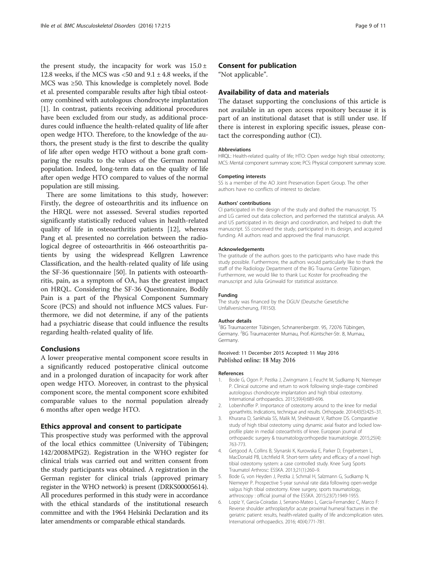<span id="page-8-0"></span>the present study, the incapacity for work was  $15.0 \pm$ 12.8 weeks, if the MCS was <50 and  $9.1 \pm 4.8$  weeks, if the MCS was ≥50. This knowledge is completely novel. Bode et al. presented comparable results after high tibial osteotomy combined with autologous chondrocyte implantation [1]. In contrast, patients receiving additional procedures have been excluded from our study, as additional procedures could influence the health-related quality of life after open wedge HTO. Therefore, to the knowledge of the authors, the present study is the first to describe the quality of life after open wedge HTO without a bone graft comparing the results to the values of the German normal population. Indeed, long-term data on the quality of life after open wedge HTO compared to values of the normal population are still missing.

There are some limitations to this study, however: Firstly, the degree of osteoarthritis and its influence on the HRQL were not assessed. Several studies reported significantly statistically reduced values in health-related quality of life in osteoarthritis patients [[12\]](#page-9-0), whereas Pang et al. presented no correlation between the radiological degree of osteoarthritis in 466 osteoarthritis patients by using the widespread Kellgren Lawrence Classification, and the health-related quality of life using the SF-36 questionnaire [[50](#page-10-0)]. In patients with osteoarthritis, pain, as a symptom of OA, has the greatest impact on HRQL. Considering the SF-36 Questionnaire, Bodily Pain is a part of the Physical Component Summary Score (PCS) and should not influence MCS values. Furthermore, we did not determine, if any of the patients had a psychiatric disease that could influence the results regarding health-related quality of life.

## Conclusions

A lower preoperative mental component score results in a significantly reduced postoperative clinical outcome and in a prolonged duration of incapacity for work after open wedge HTO. Moreover, in contrast to the physical component score, the mental component score exhibited comparable values to the normal population already 6 months after open wedge HTO.

## Ethics approval and consent to participate

This prospective study was performed with the approval of the local ethics committee (University of Tübingen; 142/2008MPG2). Registration in the WHO register for clinical trials was carried out and written consent from the study participants was obtained. A registration in the German register for clinical trials (approved primary register in the WHO network) is present (DRKS00005614). All procedures performed in this study were in accordance with the ethical standards of the institutional research committee and with the 1964 Helsinki Declaration and its later amendments or comparable ethical standards.

## Consent for publication

"Not applicable".

## Availability of data and materials

The dataset supporting the conclusions of this article is not available in an open access repository because it is part of an institutional dataset that is still under use. If there is interest in exploring specific issues, please contact the corresponding author (CI).

#### Abbreviations

HRQL: Health-related quality of life; HTO: Open wedge high tibial osteotomy; MCS: Mental component summary score; PCS: Physical component summary score.

#### Competing interests

SS is a member of the AO Joint Preservation Expert Group. The other authors have no conflicts of interest to declare.

#### Authors' contributions

CI participated in the design of the study and drafted the manuscript. TS and LG carried out data collection, and performed the statistical analysis. AA and US participated in its design and coordination, and helped to draft the manuscript. SS conceived the study, participated in its design, and acquired funding. All authors read and approved the final manuscript.

#### Acknowledgements

The gratitude of the authors goes to the participants who have made this study possible. Furthermore, the authors would particularly like to thank the staff of the Radiology Department of the BG Trauma Centre Tübingen. Furthermore, we would like to thank Luc Koster for proofreading the manuscript and Julia Grünwald for statistical assistance.

#### Funding

The study was financed by the DGUV (Deutsche Gesetzliche Unfallversicherung, FR150).

#### Author details

<sup>1</sup>BG Traumacenter Tübingen, Schnarrenbergstr. 95, 72076 Tübingen, Germany. <sup>2</sup>BG Traumacenter Murnau, Prof.-Küntscher-Str. 8, Murnau Germany.

## Received: 11 December 2015 Accepted: 11 May 2016 Published online: 18 May 2016

#### References

- 1. Bode G, Ogon P, Pestka J, Zwingmann J, Feucht M, Sudkamp N, Niemeyer P. Clinical outcome and return to work following single-stage combined autologous chondrocyte implantation and high tibial osteotomy. International orthopaedics. 2015;39(4):689-696.
- 2. Lobenhoffer P. Importance of osteotomy around to the knee for medial gonarthritis. Indications, technique and results. Orthopade. 2014;43(5):425–31.
- 3. Khurana D, Sankhala SS, Malik M, Shekhawat V, Rathore DS. Comparative study of high tibial osteotomy using dynamic axial fixator and locked lowprofile plate in medial osteoarthritis of knee. European journal of orthopaedic surgery & traumatology:orthopedie traumatologie. 2015;25(4): 763-773.
- 4. Getgood A, Collins B, Slynarski K, Kurowska E, Parker D, Engebretsen L, MacDonald PB, Litchfield R. Short-term safety and efficacy of a novel high tibial osteotomy system: a case controlled study. Knee Surg Sports Traumatol Arthrosc: ESSKA. 2013;21(1):260–9.
- 5. Bode G, von Heyden J, Pestka J, Schmal H, Salzmann G, Sudkamp N, Niemeyer P. Prospective 5-year survival rate data following open-wedge valgus high tibial osteotomy. Knee surgery, sports traumatology, arthroscopy : official journal of the ESSKA. 2015;23(7):1949-1955.
- 6. Lopiz Y, Garcia-Coiradas J, Serrano-Mateo L, Garcia-Fernandez C, Marco F: Reverse shoulder arthroplastyfor acute proximal humeral fractures in the geriatric patient: results, health-related quality of life andcomplication rates. International orthopaedics. 2016; 40(4):771-781.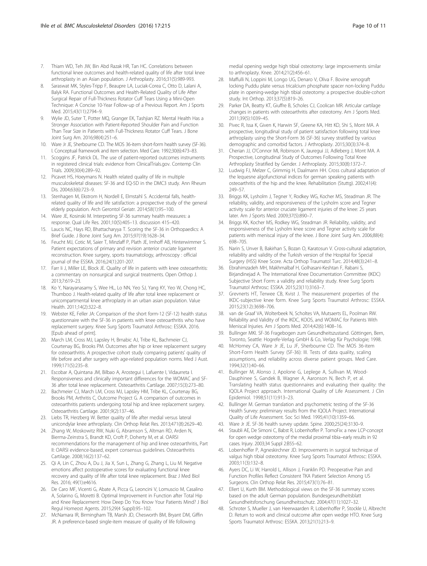- <span id="page-9-0"></span>7. Thiam WD, Teh JW, Bin Abd Razak HR, Tan HC. Correlations between functional knee outcomes and health-related quality of life after total knee arthroplasty in an Asian population. J Arthroplasty. 2016;31(5):989-993.
- Saraswat MK, Styles-Tripp F, Beaupre LA, Luciak-Corea C, Otto D, Lalani A, Balyk RA. Functional Outcomes and Health-Related Quality of Life After Surgical Repair of Full-Thickness Rotator Cuff Tears Using a Mini-Open Technique: A Concise 10-Year Follow-up of a Previous Report. Am J Sports Med. 2015;43(11):2794–9.
- 9. Wylie JD, Suter T, Potter MQ, Granger EK, Tashjian RZ. Mental Health Has a Stronger Association with Patient-Reported Shoulder Pain and Function Than Tear Size in Patients with Full-Thickness Rotator Cuff Tears. J Bone Joint Surg Am. 2016;98(4):251–6.
- 10. Ware Jr JE, Sherbourne CD. The MOS 36-item short-form health survey (SF-36). I. Conceptual framework and item selection. Med Care. 1992;30(6):473–83.
- 11. Scoggins JF, Patrick DL. The use of patient-reported outcomes instruments in registered clinical trials: evidence from ClinicalTrials.gov. Contemp Clin Trials. 2009;30(4):289–92.
- 12. Picavet HS, Hoeymans N. Health related quality of life in multiple musculoskeletal diseases: SF-36 and EQ-5D in the DMC3 study. Ann Rheum Dis. 2004;63(6):723–9.
- 13. Stenhagen M, Ekstrom H, Nordell E, Elmstahl S. Accidental falls, healthrelated quality of life and life satisfaction: a prospective study of the general elderly population. Arch Gerontol Geriatr. 2014;58(1):95–100.
- 14. Ware JE, Kosinski M. Interpreting SF-36 summary health measures: a response. Qual Life Res. 2001;10(5):405–13. discussion 415–420.
- Laucis NC, Hays RD, Bhattacharyya T. Scoring the SF-36 in Orthopaedics: A Brief Guide. J Bone Joint Surg Am. 2015;97(19):1628–34.
- 16. Feucht MJ, Cotic M, Saier T, Minzlaff P, Plath JE, Imhoff AB, Hinterwimmer S. Patient expectations of primary and revision anterior cruciate ligament reconstruction. Knee surgery, sports traumatology, arthroscopy : official journal of the ESSKA. 2016;24(1):201-207.
- 17. Farr Ii J, Miller LE, Block JE. Quality of life in patients with knee osteoarthritis: a commentary on nonsurgical and surgical treatments. Open Orthop J. 2013;7:619–23.
- 18. Ko Y, Narayanasamy S, Wee HL, Lo NN, Yeo SJ, Yang KY, Yeo W, Chong HC, Thumboo J. Health-related quality of life after total knee replacement or unicompartmental knee arthroplasty in an urban asian population. Value Health. 2011;14(2):322–8.
- 19. Webster KE, Feller JA: Comparison of the short form-12 (SF-12) health status questionnaire with the SF-36 in patients with knee osteoarthritis who have replacement surgery. Knee Surg Sports Traumatol Arthrosc: ESSKA. 2016. [Epub ahead of print].
- 20. March LM, Cross MJ, Lapsley H, Brnabic AJ, Tribe KL, Bachmeier CJ, Courtenay BG, Brooks PM. Outcomes after hip or knee replacement surgery for osteoarthritis. A prospective cohort study comparing patients' quality of life before and after surgery with age-related population norms. Med J Aust. 1999;171(5):235–8.
- 21. Escobar A, Quintana JM, Bilbao A, Arostegui I, Lafuente I, Vidaurreta I. Responsiveness and clinically important differences for the WOMAC and SF-36 after total knee replacement. Osteoarthritis Cartilage. 2007;15(3):273–80.
- 22. Bachmeier CJ, March LM, Cross MJ, Lapsley HM, Tribe KL, Courtenay BG, Brooks PM, Arthritis C, Outcome Project G. A comparison of outcomes in osteoarthritis patients undergoing total hip and knee replacement surgery. Osteoarthritis Cartilage. 2001;9(2):137–46.
- 23. Liebs TR, Herzberg W. Better quality of life after medial versus lateral unicondylar knee arthroplasty. Clin Orthop Relat Res. 2013;471(8):2629–40.
- 24. Zhang W, Moskowitz RW, Nuki G, Abramson S, Altman RD, Arden N, Bierma-Zeinstra S, Brandt KD, Croft P, Doherty M, et al. OARSI recommendations for the management of hip and knee osteoarthritis, Part II: OARSI evidence-based, expert consensus guidelines. Osteoarthritis Cartilage. 2008;16(2):137–62.
- 25. Qi A, Lin C, Zhou A, Du J, Jia X, Sun L, Zhang G, Zhang L, Liu M. Negative emotions affect postoperative scores for evaluating functional knee recovery and quality of life after total knee replacement. Braz J Med Biol Res. 2016; 49(1):e4616.
- 26. De Caro MF, Vicenti G, Abate A, Picca G, Leoncini V, Lomuscio M, Casalino A, Solarino G, Moretti B. Optimal Improvement in Function after Total Hip and Knee Replacement: How Deep Do You Know Your Patients Mind? J Biol Regul Homeost Agents. 2015;29(4 Suppl):95–102.
- 27. McNamara IR, Birmingham TB, Marsh JD, Chesworth BM, Bryant DM, Giffin JR. A preference-based single-item measure of quality of life following

medial opening wedge high tibial osteotomy: large improvements similar to arthroplasty. Knee. 2014;21(2):456–61.

- 28. Maffulli N, Loppini M, Longo UG, Denaro V, Oliva F. Bovine xenograft locking Puddu plate versus tricalcium phosphate spacer non-locking Puddu plate in opening-wedge high tibial osteotomy: a prospective double-cohort study. Int Orthop. 2013;37(5):819–26.
- 29. Parker DA, Beatty KT, Giuffre B, Scholes CJ, Coolican MR. Articular cartilage changes in patients with osteoarthritis after osteotomy. Am J Sports Med. 2011;39(5):1039–45.
- 30. Pivec R, Issa K, Given K, Harwin SF, Greene KA, Hitt KD, Shi S, Mont MA. A prospective, longitudinal study of patient satisfaction following total knee arthroplasty using the Short-Form 36 (SF-36) survey stratified by various demographic and comorbid factors. J Arthroplasty. 2015;30(3):374–8.
- 31. Cherian JJ, O'Connor MI, Robinson K, Jauregui JJ, Adleberg J, Mont MA. A Prospective, Longitudinal Study of Outcomes Following Total Knee Arthroplasty Stratified by Gender. J Arthroplasty. 2015;30(8):1372–7.
- 32. Ludwig FJ, Melzer C, Grimmig H, Daalmann HH. Cross cultural adaptation of the lequesne algofunctional indices for german speaking patients with osteoarthritis of the hip and the knee. Rehabilitation (Stuttg). 2002;41(4): 249–57.
- 33. Briggs KK, Lysholm J, Tegner Y, Rodkey WG, Kocher MS, Steadman JR. The reliability, validity, and responsiveness of the Lysholm score and Tegner activity scale for anterior cruciate ligament injuries of the knee: 25 years later. Am J Sports Med. 2009;37(5):890–7.
- 34. Briggs KK, Kocher MS, Rodkey WG, Steadman JR. Reliability, validity, and responsiveness of the Lysholm knee score and Tegner activity scale for patients with meniscal injury of the knee. J Bone Joint Surg Am. 2006;88(4): 698–705.
- 35. Narin S, Unver B, Bakirhan S, Bozan O, Karatosun V. Cross-cultural adaptation, reliability and validity of the Turkish version of the Hospital for Special Surgery (HSS) Knee Score. Acta Orthop Traumatol Turc. 2014;48(3):241–8.
- 36. Ebrahimzadeh MH, Makhmalbaf H, Golhasani-Keshtan F, Rabani S, Birjandinejad A. The International Knee Documentation Committee (IKDC) Subjective Short Form: a validity and reliability study. Knee Surg Sports Traumatol Arthrosc: ESSKA. 2015;23(11):3163–7.
- 37. Grevnerts HT, Terwee CB, Kvist J. The measurement properties of the IKDC-subjective knee form. Knee Surg Sports Traumatol Arthrosc: ESSKA. 2015;23(12):3698–706.
- 38. van de Graaf VA, Wolterbeek N, Scholtes VA, Mutsaerts EL, Poolman RW. Reliability and Validity of the IKDC, KOOS, and WOMAC for Patients With Meniscal Injuries. Am J Sports Med. 2014;42(6):1408–16.
- 39. Bullinger MKI. SF-36 Fragebogen zum Gesundheitszustand. Göttingen, Bern, Toronto, Seattle: Hogrefe-Verlag GmbH & Co, Verlag für Psychologie; 1998.
- 40. McHorney CA, Ware Jr JE, Lu JF, Sherbourne CD. The MOS 36-item Short-Form Health Survey (SF-36): III. Tests of data quality, scaling assumptions, and reliability across diverse patient groups. Med Care. 1994;32(1):40–66.
- 41. Bullinger M, Alonso J, Apolone G, Leplege A, Sullivan M, Wood-Dauphinee S, Gandek B, Wagner A, Aaronson N, Bech P, et al. Translating health status questionnaires and evaluating their quality: the IQOLA Project approach. International Quality of Life Assessment. J Clin Epidemiol. 1998;51(11):913–23.
- 42. Bullinger M. German translation and psychometric testing of the SF-36 Health Survey: preliminary results from the IQOLA Project. International Quality of Life Assessment. Soc Sci Med. 1995;41(10):1359–66.
- 43. Ware Jr JE. SF-36 health survey update. Spine. 2000;25(24):3130–9.
- 44. Staubli AE, De Simoni C, Babst R, Lobenhoffer P. TomoFix: a new LCP-concept for open wedge osteotomy of the medial proximal tibia–early results in 92 cases. Injury. 2003;34 Suppl 2:B55–62.
- 45. Lobenhoffer P, Agneskirchner JD. Improvements in surgical technique of valgus high tibial osteotomy. Knee Surg Sports Traumatol Arthrosc: ESSKA. 2003;11(3):132–8.
- 46. Ayers DC, Li W, Harrold L, Allison J, Franklin PD. Preoperative Pain and Function Profiles Reflect Consistent TKA Patient Selection Among US Surgeons. Clin Orthop Relat Res. 2015;473(1):76–81.
- 47. Ellert U, Kurth BM. Methodological views on the SF-36 summary scores based on the adult German population. Bundesgesundheitsblatt Gesundheitsforschung Gesundheitsschutz. 2004;47(11):1027–32.
- 48. Schroter S, Mueller J, van Heerwaarden R, Lobenhoffer P, Stockle U, Albrecht D. Return to work and clinical outcome after open wedge HTO. Knee Surg Sports Traumatol Arthrosc: ESSKA. 2013;21(1):213–9.